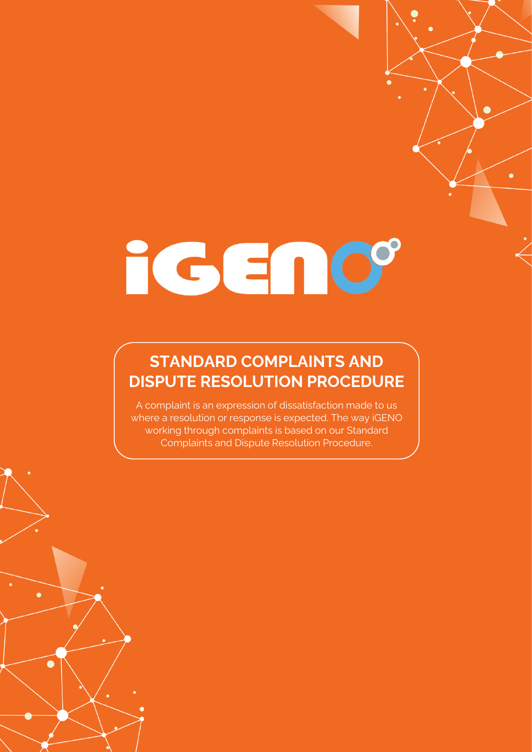# iGENO°

# **STANDARD COMPLAINTS AND DISPUTE RESOLUTION PROCEDURE**

A complaint is an expression of dissatisfaction made to us where a resolution or response is expected. The way iGENO working through complaints is based on our Standard Complaints and Dispute Resolution Procedure.

 $\bullet$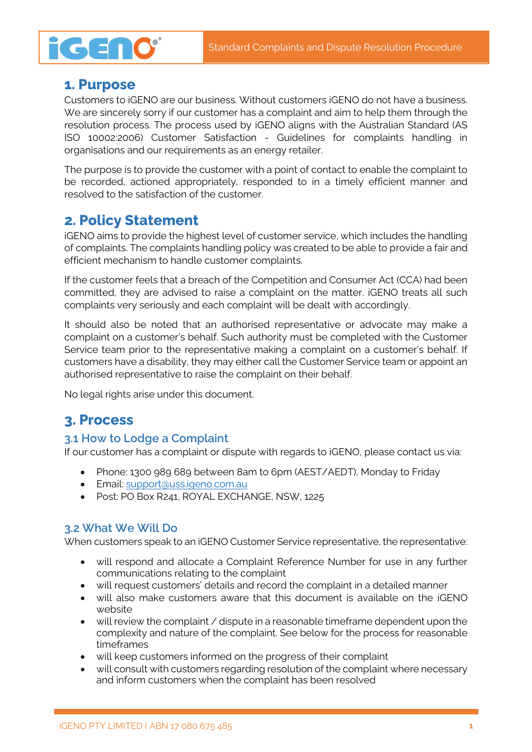# **iGENO**

### **1. Purpose**

Customers to iGENO are our business. Without customers iGENO do not have a business. We are sincerely sorry if our customer has a complaint and aim to help them through the resolution process. The process used by iGENO aligns with the Australian Standard (AS ISO 10002:2006) Customer Satisfaction - Guidelines for complaints handling in organisations and our requirements as an energy retailer.

The purpose is to provide the customer with a point of contact to enable the complaint to be recorded, actioned appropriately, responded to in a timely efficient manner and resolved to the satisfaction of the customer.

# **2. Policy Statement**

iGENO aims to provide the highest level of customer service, which includes the handling of complaints. The complaints handling policy was created to be able to provide a fair and efficient mechanism to handle customer complaints.

If the customer feels that a breach of the Competition and Consumer Act (CCA) had been committed, they are advised to raise a complaint on the matter. iGENO treats all such complaints very seriously and each complaint will be dealt with accordingly.

It should also be noted that an authorised representative or advocate may make a complaint on a customer's behalf. Such authority must be completed with the Customer Service team prior to the representative making a complaint on a customer's behalf. If customers have a disability, they may either call the Customer Service team or appoint an authorised representative to raise the complaint on their behalf.

No legal rights arise under this document.

## **3. Process**

#### **3.1 How to Lodge a Complaint**

If our customer has a complaint or dispute with regards to iGENO, please contact us via:

- Phone: 1300 989 689 between 8am to 6pm (AEST/AEDT), Monday to Friday
- Email: [support@uss.igeno.com.au](mailto:support@uss.igeno.com.au)
- Post: PO Box R241, ROYAL EXCHANGE, NSW, 1225

#### **3.2 What We Will Do**

When customers speak to an iGENO Customer Service representative, the representative:

- will respond and allocate a Complaint Reference Number for use in any further communications relating to the complaint
- will request customers' details and record the complaint in a detailed manner
- will also make customers aware that this document is available on the iGENO website
- will review the complaint / dispute in a reasonable timeframe dependent upon the complexity and nature of the complaint. See below for the process for reasonable timeframes
- will keep customers informed on the progress of their complaint
- will consult with customers regarding resolution of the complaint where necessary and inform customers when the complaint has been resolved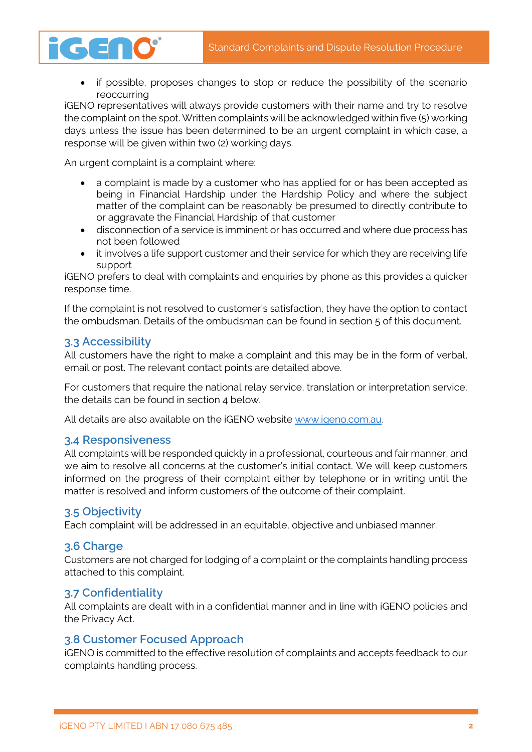

if possible, proposes changes to stop or reduce the possibility of the scenario reoccurring

iGENO representatives will always provide customers with their name and try to resolve the complaint on the spot. Written complaints will be acknowledged within five (5) working days unless the issue has been determined to be an urgent complaint in which case, a response will be given within two (2) working days.

An urgent complaint is a complaint where:

- a complaint is made by a customer who has applied for or has been accepted as being in Financial Hardship under the Hardship Policy and where the subject matter of the complaint can be reasonably be presumed to directly contribute to or aggravate the Financial Hardship of that customer
- disconnection of a service is imminent or has occurred and where due process has not been followed
- it involves a life support customer and their service for which they are receiving life support

iGENO prefers to deal with complaints and enquiries by phone as this provides a quicker response time.

If the complaint is not resolved to customer's satisfaction, they have the option to contact the ombudsman. Details of the ombudsman can be found in section 5 of this document.

#### **3.3 Accessibility**

All customers have the right to make a complaint and this may be in the form of verbal, email or post. The relevant contact points are detailed above.

For customers that require the national relay service, translation or interpretation service, the details can be found in section 4 below.

All details are also available on the iGENO website [www.igeno.com.au.](http://www.igeno.com.au/)

#### **3.4 Responsiveness**

All complaints will be responded quickly in a professional, courteous and fair manner, and we aim to resolve all concerns at the customer's initial contact. We will keep customers informed on the progress of their complaint either by telephone or in writing until the matter is resolved and inform customers of the outcome of their complaint.

#### **3.5 Objectivity**

Each complaint will be addressed in an equitable, objective and unbiased manner.

#### **3.6 Charge**

Customers are not charged for lodging of a complaint or the complaints handling process attached to this complaint.

#### **3.7 Confidentiality**

All complaints are dealt with in a confidential manner and in line with iGENO policies and the Privacy Act.

#### **3.8 Customer Focused Approach**

iGENO is committed to the effective resolution of complaints and accepts feedback to our complaints handling process.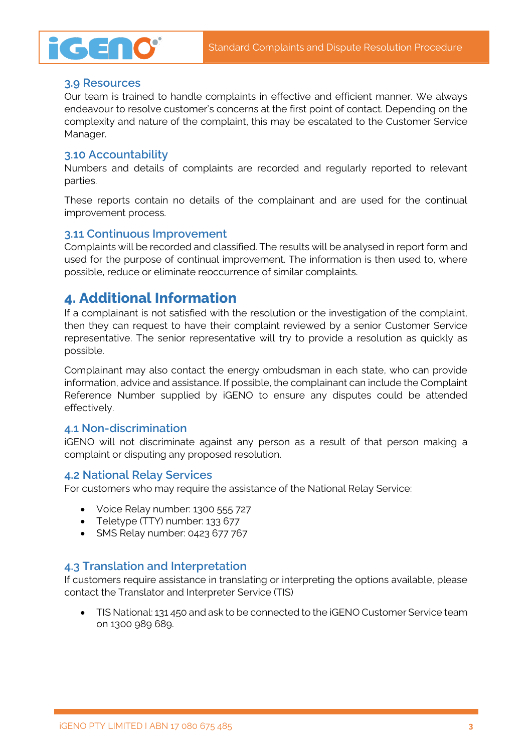

#### **3.9 Resources**

GENO

Our team is trained to handle complaints in effective and efficient manner. We always endeavour to resolve customer's concerns at the first point of contact. Depending on the complexity and nature of the complaint, this may be escalated to the Customer Service Manager.

#### **3.10 Accountability**

Numbers and details of complaints are recorded and regularly reported to relevant parties.

These reports contain no details of the complainant and are used for the continual improvement process.

#### **3.11 Continuous Improvement**

Complaints will be recorded and classified. The results will be analysed in report form and used for the purpose of continual improvement. The information is then used to, where possible, reduce or eliminate reoccurrence of similar complaints.

#### **4. Additional Information**

If a complainant is not satisfied with the resolution or the investigation of the complaint, then they can request to have their complaint reviewed by a senior Customer Service representative. The senior representative will try to provide a resolution as quickly as possible.

Complainant may also contact the energy ombudsman in each state, who can provide information, advice and assistance. If possible, the complainant can include the Complaint Reference Number supplied by iGENO to ensure any disputes could be attended effectively.

#### **4.1 Non-discrimination**

iGENO will not discriminate against any person as a result of that person making a complaint or disputing any proposed resolution.

#### **4.2 National Relay Services**

For customers who may require the assistance of the National Relay Service:

- Voice Relay number: 1300 555 727
- Teletype (TTY) number: 133 677
- SMS Relay number: 0423 677 767

#### **4.3 Translation and Interpretation**

If customers require assistance in translating or interpreting the options available, please contact the Translator and Interpreter Service (TIS)

• TIS National: 131 450 and ask to be connected to the iGENO Customer Service team on 1300 989 689.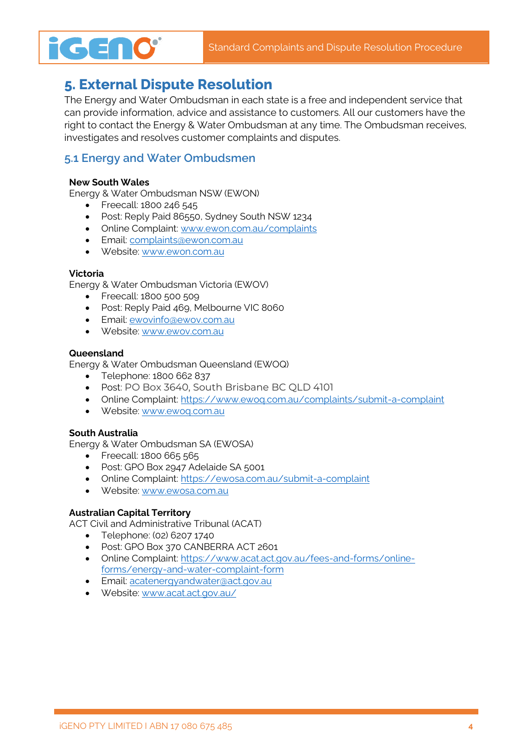# **5. External Dispute Resolution**

The Energy and Water Ombudsman in each state is a free and independent service that can provide information, advice and assistance to customers. All our customers have the right to contact the Energy & Water Ombudsman at any time. The Ombudsman receives, investigates and resolves customer complaints and disputes.

#### **5.1 Energy and Water Ombudsmen**

#### **New South Wales**

**iGENO**®

Energy & Water Ombudsman NSW (EWON)

- Freecall: 1800 246 545
- Post: Reply Paid 86550, Sydney South NSW 1234
- Online Complaint: [www.ewon.com.au/complaints](http://www.ewon.com.au/complaints)
- Email: [complaints@ewon.com.au](mailto:complaints@ewon.com.au)
- Website[: www.ewon.com.au](http://www.ewon.com.au/)

#### **Victoria**

Energy & Water Ombudsman Victoria (EWOV)

- Freecall: 1800 500 509
- Post: Reply Paid 469, Melbourne VIC 8060
- Email: [ewovinfo@ewov.com.au](mailto:ewovinfo@ewov.com.au)
- Website[: www.ewov.com.au](http://www.ewov.com.au/)

#### **Queensland**

Energy & Water Ombudsman Queensland (EWOQ)

- Telephone: 1800 662 837
- Post: PO Box 3640, South Brisbane BC QLD 4101
- Online Complaint: https://www.ewog.com.au/complaints/submit-a-complaint
- Website[: www.ewoq.com.au](http://www.ewoq.com.au/)

#### **South Australia**

Energy & Water Ombudsman SA (EWOSA)

- Freecall: 1800 665 565
- Post: GPO Box 2947 Adelaide SA 5001
- Online Complaint:<https://ewosa.com.au/submit-a-complaint>
- Website[: www.ewosa.com.au](http://www.ewosa.com.au/)

#### **Australian Capital Territory**

ACT Civil and Administrative Tribunal (ACAT)

- Telephone: (02) 6207 1740
- Post: GPO Box 370 CANBERRA ACT 2601
- Online Complaint: [https://www.acat.act.gov.au/fees-and-forms/online](https://www.acat.act.gov.au/fees-and-forms/online-forms/energy-and-water-complaint-form)[forms/energy-and-water-complaint-form](https://www.acat.act.gov.au/fees-and-forms/online-forms/energy-and-water-complaint-form)
- Email: [acatenergyandwater@act.gov.au](mailto:acatenergyandwater@act.gov.au)
- Website[: www.acat.act.gov.au/](http://www.acat.act.gov.au/)